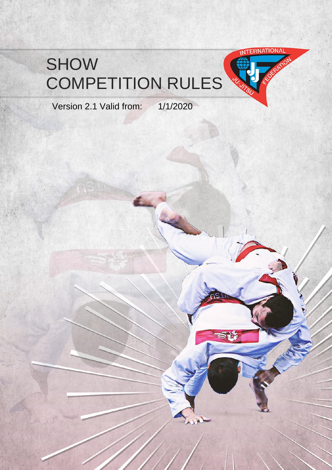# SHOW COMPETITION RULES



Version 2.1 Valid from: 1/1/2020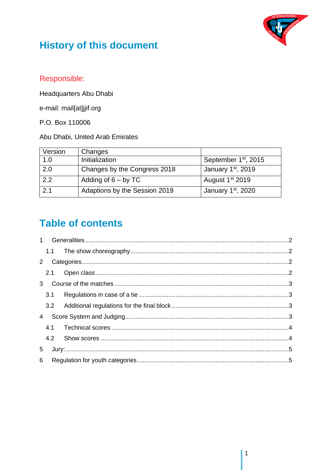

# **History of this document**

## Responsible:

Headquarters Abu Dhabi

e-mail: mail[at]jjif.org

P.O. Box 110006

Abu Dhabi, United Arab Emirates

| Version | Changes                       |                                  |
|---------|-------------------------------|----------------------------------|
| 1.0     | Initialization                | September 1 <sup>st</sup> , 2015 |
| 2.0     | Changes by the Congress 2018  | January 1st, 2019                |
| 2.2     | Adding of $6 - by TC$         | August 1 <sup>st</sup> 2019      |
| 2.1     | Adaptions by the Session 2019 | January 1 <sup>st</sup> , 2020   |

# **Table of contents**

| 2            |     |  |  |  |
|--------------|-----|--|--|--|
|              | 2.1 |  |  |  |
| $\mathbf{3}$ |     |  |  |  |
|              | 3.1 |  |  |  |
|              |     |  |  |  |
| 4            |     |  |  |  |
|              |     |  |  |  |
|              | 4.2 |  |  |  |
| 5            |     |  |  |  |
| 6            |     |  |  |  |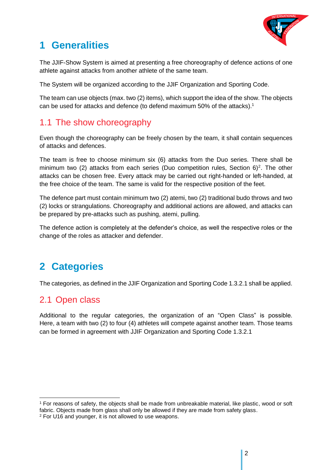

## <span id="page-2-0"></span>**1 Generalities**

The JJIF-Show System is aimed at presenting a free choreography of defence actions of one athlete against attacks from another athlete of the same team.

The System will be organized according to the JJIF Organization and Sporting Code.

The team can use objects (max. two (2) items), which support the idea of the show. The objects can be used for attacks and defence (to defend maximum 50% of the attacks). 1

## <span id="page-2-1"></span>1.1 The show choreography

Even though the choreography can be freely chosen by the team, it shall contain sequences of attacks and defences.

The team is free to choose minimum six (6) attacks from the Duo series. There shall be minimum two (2) attacks from each series (Duo competition rules, Section  $6)^2$ . The other attacks can be chosen free. Every attack may be carried out right-handed or left-handed, at the free choice of the team. The same is valid for the respective position of the feet.

The defence part must contain minimum two (2) atemi, two (2) traditional budo throws and two (2) locks or strangulations. Choreography and additional actions are allowed, and attacks can be prepared by pre-attacks such as pushing, atemi, pulling.

The defence action is completely at the defender's choice, as well the respective roles or the change of the roles as attacker and defender.

## <span id="page-2-2"></span>**2 Categories**

The categories, as defined in the JJIF Organization and Sporting Code 1.3.2.1 shall be applied.

### <span id="page-2-3"></span>2.1 Open class

Additional to the regular categories, the organization of an "Open Class" is possible. Here, a team with two (2) to four (4) athletes will compete against another team. Those teams can be formed in agreement with JJIF Organization and Sporting Code 1.3.2.1

<sup>1</sup> For reasons of safety, the objects shall be made from unbreakable material, like plastic, wood or soft fabric. Objects made from glass shall only be allowed if they are made from safety glass.

<sup>2</sup> For U16 and younger, it is not allowed to use weapons.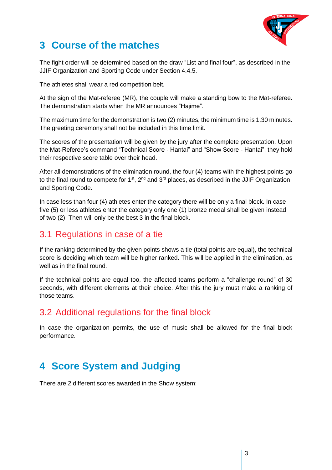

## <span id="page-3-0"></span>**3 Course of the matches**

The fight order will be determined based on the draw "List and final four", as described in the JJIF Organization and Sporting Code under Section 4.4.5.

The athletes shall wear a red competition belt.

At the sign of the Mat-referee (MR), the couple will make a standing bow to the Mat-referee. The demonstration starts when the MR announces "Hajime".

The maximum time for the demonstration is two (2) minutes, the minimum time is 1.30 minutes. The greeting ceremony shall not be included in this time limit.

The scores of the presentation will be given by the jury after the complete presentation. Upon the Mat-Referee's command "Technical Score - Hantai" and "Show Score - Hantai", they hold their respective score table over their head.

After all demonstrations of the elimination round, the four (4) teams with the highest points go to the final round to compete for  $1^{st}$ ,  $2^{nd}$  and  $3^{rd}$  places, as described in the JJIF Organization and Sporting Code.

In case less than four (4) athletes enter the category there will be only a final block. In case five (5) or less athletes enter the category only one (1) bronze medal shall be given instead of two (2). Then will only be the best 3 in the final block.

## <span id="page-3-1"></span>3.1 Regulations in case of a tie

If the ranking determined by the given points shows a tie (total points are equal), the technical score is deciding which team will be higher ranked. This will be applied in the elimination, as well as in the final round.

If the technical points are equal too, the affected teams perform a "challenge round" of 30 seconds, with different elements at their choice. After this the jury must make a ranking of those teams.

#### <span id="page-3-2"></span>3.2 Additional regulations for the final block

In case the organization permits, the use of music shall be allowed for the final block performance.

# <span id="page-3-3"></span>**4 Score System and Judging**

There are 2 different scores awarded in the Show system: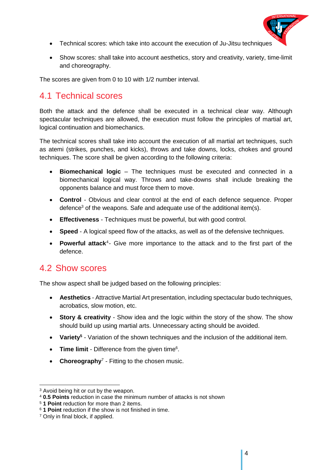

- Technical scores: which take into account the execution of Ju-Jitsu techniques
- Show scores: shall take into account aesthetics, story and creativity, variety, time-limit and choreography.

The scores are given from 0 to 10 with 1/2 number interval.

#### <span id="page-4-0"></span>4.1 Technical scores

Both the attack and the defence shall be executed in a technical clear way. Although spectacular techniques are allowed, the execution must follow the principles of martial art, logical continuation and biomechanics.

The technical scores shall take into account the execution of all martial art techniques, such as atemi (strikes, punches, and kicks), throws and take downs, locks, chokes and ground techniques. The score shall be given according to the following criteria:

- **Biomechanical logic** The techniques must be executed and connected in a biomechanical logical way. Throws and take-downs shall include breaking the opponents balance and must force them to move.
- **Control**  Obvious and clear control at the end of each defence sequence. Proper defence<sup>3</sup> of the weapons. Safe and adequate use of the additional item(s).
- **Effectiveness** Techniques must be powerful, but with good control.
- **Speed** A logical speed flow of the attacks, as well as of the defensive techniques.
- **Powerful attack**<sup>4</sup>- Give more importance to the attack and to the first part of the defence.

#### <span id="page-4-1"></span>4.2 Show scores

The show aspect shall be judged based on the following principles:

- **Aesthetics** Attractive Martial Art presentation, including spectacular budo techniques, acrobatics, slow motion, etc.
- **Story & creativity** Show idea and the logic within the story of the show. The show should build up using martial arts. Unnecessary acting should be avoided.
- **•** Variety<sup>5</sup> Variation of the shown techniques and the inclusion of the additional item.
- Time limit Difference from the given time<sup>6</sup>.
- **Choreography<sup>7</sup>** Fitting to the chosen music.

<sup>3</sup> Avoid being hit or cut by the weapon.

<sup>4</sup> **0.5 Points** reduction in case the minimum number of attacks is not shown

<sup>5</sup> **1 Point** reduction for more than 2 items.

<sup>6</sup> **1 Point** reduction if the show is not finished in time.

<sup>7</sup> Only in final block, if applied.